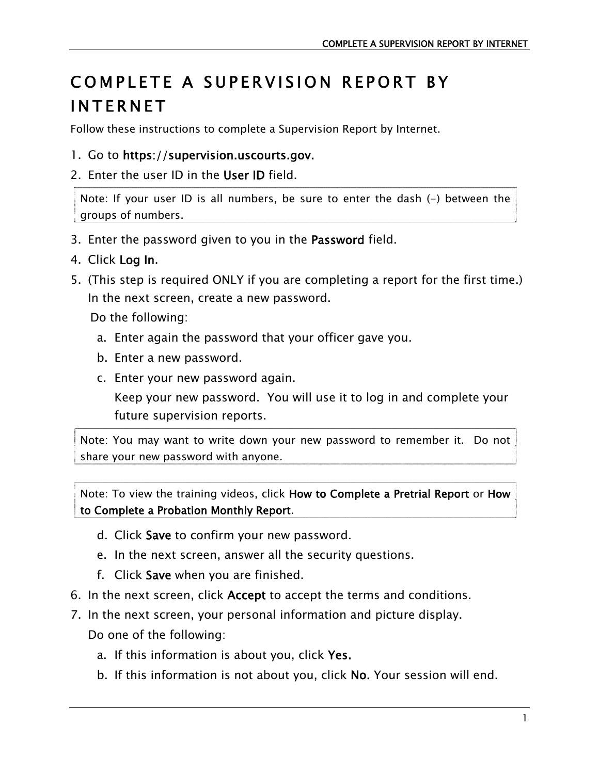## COMPLETE A SUPERVISION REPORT BY INTERNET

Follow these instructions to complete a Supervision Report by Internet.

- 1. Go to https://supervision.uscourts.gov.
- 2. Enter the user ID in the User ID field.

Note: If your user ID is all numbers, be sure to enter the dash (-) between the groups of numbers.

- 3. Enter the password given to you in the Password field.
- 4. Click Log In.
- 5. (This step is required ONLY if you are completing a report for the first time.) In the next screen, create a new password.

Do the following:

- a. Enter again the password that your officer gave you.
- b. Enter a new password.
- c. Enter your new password again.

Keep your new password. You will use it to log in and complete your future supervision reports.

Note: You may want to write down your new password to remember it. Do not share your new password with anyone.

Note: To view the training videos, click How to Complete a Pretrial Report or How to Complete a Probation Monthly Report.

- d. Click Save to confirm your new password.
- e. In the next screen, answer all the security questions.
- f. Click Save when you are finished.
- 6. In the next screen, click Accept to accept the terms and conditions.
- 7. In the next screen, your personal information and picture display. Do one of the following:
	- a. If this information is about you, click Yes.
	- b. If this information is not about you, click No. Your session will end.